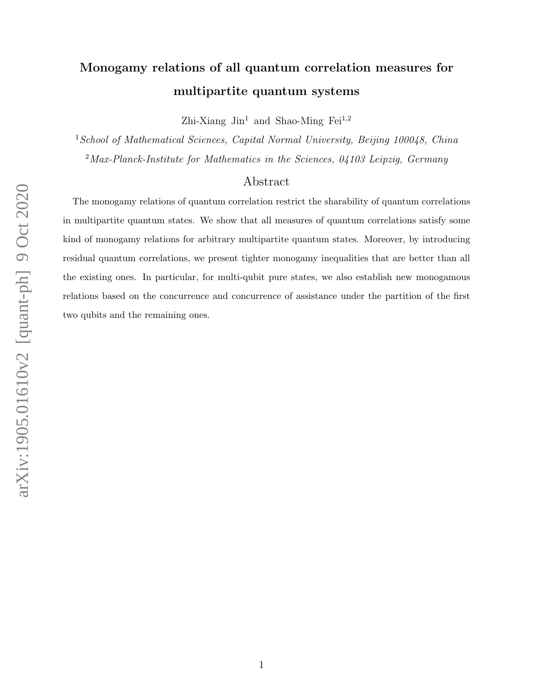## Monogamy relations of all quantum correlation measures for multipartite quantum systems

Zhi-Xiang  $\text{Jin}^1$  and Shao-Ming Fei<sup>1,2</sup>

<sup>1</sup> School of Mathematical Sciences, Capital Normal University, Beijing 100048, China  $2$ Max-Planck-Institute for Mathematics in the Sciences, 04103 Leipzig, Germany

## Abstract

The monogamy relations of quantum correlation restrict the sharability of quantum correlations in multipartite quantum states. We show that all measures of quantum correlations satisfy some kind of monogamy relations for arbitrary multipartite quantum states. Moreover, by introducing residual quantum correlations, we present tighter monogamy inequalities that are better than all the existing ones. In particular, for multi-qubit pure states, we also establish new monogamous relations based on the concurrence and concurrence of assistance under the partition of the first two qubits and the remaining ones.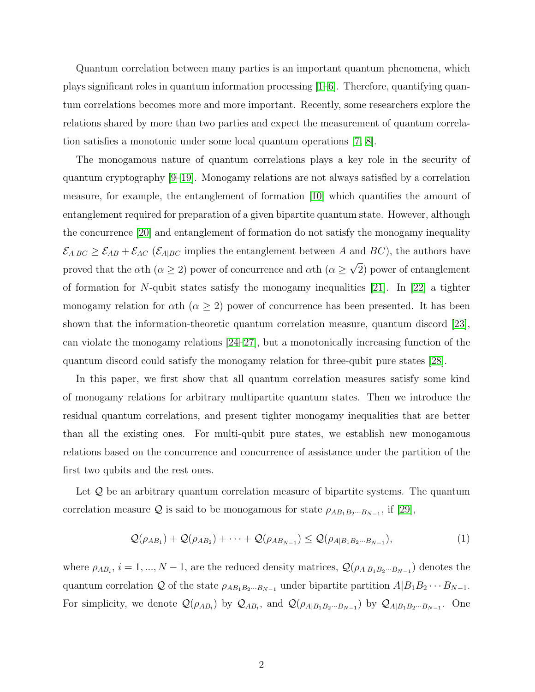Quantum correlation between many parties is an important quantum phenomena, which plays significant roles in quantum information processing [\[1–](#page-10-0)[6\]](#page-10-1). Therefore, quantifying quantum correlations becomes more and more important. Recently, some researchers explore the relations shared by more than two parties and expect the measurement of quantum correlation satisfies a monotonic under some local quantum operations [\[7,](#page-10-2) [8\]](#page-10-3).

The monogamous nature of quantum correlations plays a key role in the security of quantum cryptography [\[9–](#page-11-0)[19\]](#page-11-1). Monogamy relations are not always satisfied by a correlation measure, for example, the entanglement of formation [\[10\]](#page-11-2) which quantifies the amount of entanglement required for preparation of a given bipartite quantum state. However, although the concurrence [\[20\]](#page-11-3) and entanglement of formation do not satisfy the monogamy inequality  $\mathcal{E}_{A|BC} \geq \mathcal{E}_{AB} + \mathcal{E}_{AC}$  ( $\mathcal{E}_{A|BC}$  implies the entanglement between A and BC), the authors have proved that the  $\alpha$ th ( $\alpha \geq 2$ ) power of concurrence and  $\alpha$ th ( $\alpha \geq 1$ ) √ 2) power of entanglement of formation for N-qubit states satisfy the monogamy inequalities  $[21]$ . In  $[22]$  a tighter monogamy relation for  $\alpha$ th ( $\alpha \geq 2$ ) power of concurrence has been presented. It has been shown that the information-theoretic quantum correlation measure, quantum discord [\[23\]](#page-11-6), can violate the monogamy relations [\[24](#page-11-7)[–27\]](#page-11-8), but a monotonically increasing function of the quantum discord could satisfy the monogamy relation for three-qubit pure states [\[28\]](#page-11-9).

In this paper, we first show that all quantum correlation measures satisfy some kind of monogamy relations for arbitrary multipartite quantum states. Then we introduce the residual quantum correlations, and present tighter monogamy inequalities that are better than all the existing ones. For multi-qubit pure states, we establish new monogamous relations based on the concurrence and concurrence of assistance under the partition of the first two qubits and the rest ones.

Let  $\mathcal Q$  be an arbitrary quantum correlation measure of bipartite systems. The quantum correlation measure Q is said to be monogamous for state  $\rho_{AB_1B_2\cdots B_{N-1}}$ , if [\[29\]](#page-11-10),

$$
\mathcal{Q}(\rho_{AB_1}) + \mathcal{Q}(\rho_{AB_2}) + \dots + \mathcal{Q}(\rho_{AB_{N-1}}) \leq \mathcal{Q}(\rho_{A|B_1B_2\cdots B_{N-1}}),\tag{1}
$$

where  $\rho_{AB_i}$ ,  $i = 1, ..., N-1$ , are the reduced density matrices,  $\mathcal{Q}(\rho_{A|B_1B_2\cdots B_{N-1}})$  denotes the quantum correlation Q of the state  $\rho_{AB_1B_2\cdots B_{N-1}}$  under bipartite partition  $A|B_1B_2\cdots B_{N-1}$ . For simplicity, we denote  $\mathcal{Q}(\rho_{AB_i})$  by  $\mathcal{Q}_{AB_i}$ , and  $\mathcal{Q}(\rho_{A|B_1B_2\cdots B_{N-1}})$  by  $\mathcal{Q}_{A|B_1B_2\cdots B_{N-1}}$ . One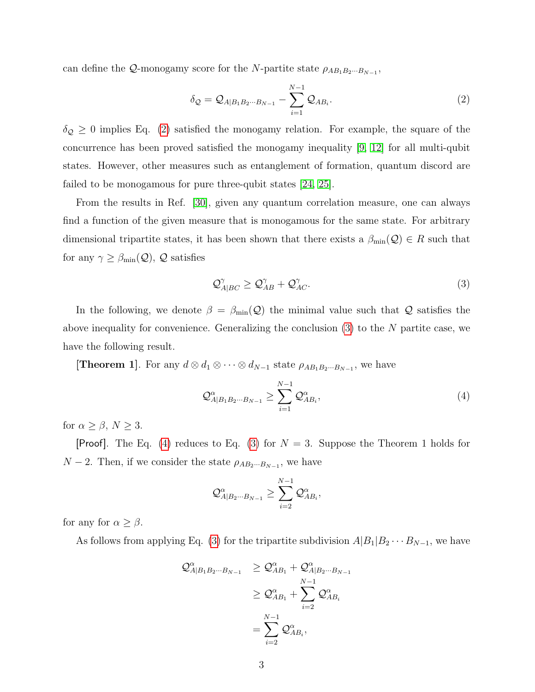can define the  $\mathcal{Q}$ -monogamy score for the N-partite state  $\rho_{AB_1B_2\cdots B_{N-1}}$ ,

<span id="page-2-0"></span>
$$
\delta_{\mathcal{Q}} = \mathcal{Q}_{A|B_1B_2\cdots B_{N-1}} - \sum_{i=1}^{N-1} \mathcal{Q}_{AB_i}.
$$
 (2)

 $\delta_{\mathcal{Q}}\geq 0$  implies Eq. [\(2\)](#page-2-0) satisfied the monogamy relation. For example, the square of the concurrence has been proved satisfied the monogamy inequality [\[9,](#page-11-0) [12\]](#page-11-11) for all multi-qubit states. However, other measures such as entanglement of formation, quantum discord are failed to be monogamous for pure three-qubit states [\[24,](#page-11-7) [25\]](#page-11-12).

From the results in Ref. [\[30\]](#page-11-13), given any quantum correlation measure, one can always find a function of the given measure that is monogamous for the same state. For arbitrary dimensional tripartite states, it has been shown that there exists a  $\beta_{\min}(\mathcal{Q}) \in R$  such that for any  $\gamma \geq \beta_{\min}(\mathcal{Q}), \mathcal{Q}$  satisfies

<span id="page-2-1"></span>
$$
\mathcal{Q}_{A|BC}^{\gamma} \ge \mathcal{Q}_{AB}^{\gamma} + \mathcal{Q}_{AC}^{\gamma}.
$$
\n(3)

In the following, we denote  $\beta = \beta_{\min}(Q)$  the minimal value such that Q satisfies the above inequality for convenience. Generalizing the conclusion  $(3)$  to the N partite case, we have the following result.

**[Theorem 1]**. For any  $d \otimes d_1 \otimes \cdots \otimes d_{N-1}$  state  $\rho_{AB_1B_2\cdots B_{N-1}}$ , we have

<span id="page-2-2"></span>
$$
\mathcal{Q}_{A|B_1B_2\cdots B_{N-1}}^{\alpha} \ge \sum_{i=1}^{N-1} \mathcal{Q}_{AB_i}^{\alpha},\tag{4}
$$

for  $\alpha \ge \beta$ ,  $N \ge 3$ .

**[Proof].** The Eq. [\(4\)](#page-2-2) reduces to Eq. [\(3\)](#page-2-1) for  $N = 3$ . Suppose the Theorem 1 holds for  $N-2$ . Then, if we consider the state  $\rho_{AB_2\cdots B_{N-1}}$ , we have

$$
\mathcal{Q}_{A|B_{2}\cdots B_{N-1}}^{\alpha}\geq \sum_{i=2}^{N-1}\mathcal{Q}_{AB_{i}}^{\alpha},
$$

for any for  $\alpha \geq \beta$ .

As follows from applying Eq. [\(3\)](#page-2-1) for the tripartite subdivision  $A|B_1|B_2 \cdots B_{N-1}$ , we have

$$
\mathcal{Q}_{A|B_1B_2\cdots B_{N-1}}^{\alpha} \geq \mathcal{Q}_{AB_1}^{\alpha} + \mathcal{Q}_{A|B_2\cdots B_{N-1}}^{\alpha}
$$
  
\n
$$
\geq \mathcal{Q}_{AB_1}^{\alpha} + \sum_{i=2}^{N-1} \mathcal{Q}_{AB_i}^{\alpha}
$$
  
\n
$$
= \sum_{i=2}^{N-1} \mathcal{Q}_{AB_i}^{\alpha},
$$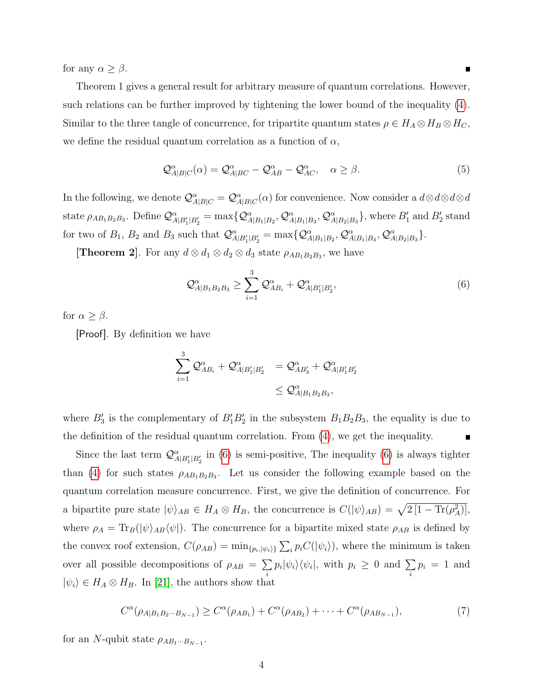for any  $\alpha \geq \beta$ .

Theorem 1 gives a general result for arbitrary measure of quantum correlations. However, such relations can be further improved by tightening the lower bound of the inequality [\(4\)](#page-2-2). Similar to the three tangle of concurrence, for tripartite quantum states  $\rho \in H_A \otimes H_B \otimes H_C$ , we define the residual quantum correlation as a function of  $\alpha$ ,

$$
\mathcal{Q}_{A|B|C}^{\alpha}(\alpha) = \mathcal{Q}_{A|BC}^{\alpha} - \mathcal{Q}_{AB}^{\alpha} - \mathcal{Q}_{AC}^{\alpha}, \quad \alpha \ge \beta.
$$
 (5)

In the following, we denote  $\mathcal{Q}_{A|B|C}^{\alpha} = \mathcal{Q}_{A|B|C}^{\alpha}(\alpha)$  for convenience. Now consider a  $d \otimes d \otimes d \otimes d$ state  $\rho_{AB_1B_2B_3}$ . Define  $\mathcal{Q}^{\alpha}_{A|B_1|B_2} = \max\{ \mathcal{Q}^{\alpha}_{A|B_1|B_2}, \mathcal{Q}^{\alpha}_{A|B_1|B_3}, \mathcal{Q}^{\alpha}_{A|B_2|B_3} \}$ , where  $B'_1$  and  $B'_2$  stand for two of  $B_1$ ,  $B_2$  and  $B_3$  such that  $\mathcal{Q}_{A|B_1|B_2}^{\alpha} = \max\{ \mathcal{Q}_{A|B_1|B_2}^{\alpha}, \mathcal{Q}_{A|B_1|B_3}^{\alpha}, \mathcal{Q}_{A|B_2|B_3}^{\alpha} \}.$ 

**[Theorem 2]**. For any  $d \otimes d_1 \otimes d_2 \otimes d_3$  state  $\rho_{AB_1B_2B_3}$ , we have

<span id="page-3-0"></span>
$$
\mathcal{Q}_{A|B_1B_2B_3}^{\alpha} \ge \sum_{i=1}^{3} \mathcal{Q}_{AB_i}^{\alpha} + \mathcal{Q}_{A|B_1'|B_2'},
$$
\n(6)

for  $\alpha \geq \beta$ .

[Proof]. By definition we have

$$
\begin{array}{ll} \displaystyle \sum_{i=1}^3{\cal Q}^\alpha_{AB_i}+{\cal Q}^\alpha_{A|B_1'|B_2'} & ={\cal Q}^\alpha_{AB_3'}+{\cal Q}^\alpha_{A|B_1'B_2'}\\ & \leq {\cal Q}^\alpha_{A|B_1B_2B_3}, \end{array}
$$

where  $B'_3$  is the complementary of  $B'_1B'_2$  in the subsystem  $B_1B_2B_3$ , the equality is due to the definition of the residual quantum correlation. From [\(4\)](#page-2-2), we get the inequality.  $\blacksquare$ 

Since the last term  $\mathcal{Q}^{\alpha}_{A|B_1'|B_2'}$  in [\(6\)](#page-3-0) is semi-positive, The inequality (6) is always tighter than [\(4\)](#page-2-2) for such states  $\rho_{AB_1B_2B_3}$ . Let us consider the following example based on the quantum correlation measure concurrence. First, we give the definition of concurrence. For a bipartite pure state  $|\psi\rangle_{AB} \in H_A \otimes H_B$ , the concurrence is  $C(|\psi\rangle_{AB}) = \sqrt{2[1 - \text{Tr}(\rho_A^2)]}$ , where  $\rho_A = \text{Tr}_B(|\psi\rangle_{AB} \langle \psi|)$ . The concurrence for a bipartite mixed state  $\rho_{AB}$  is defined by the convex roof extension,  $C(\rho_{AB}) = \min_{\{p_i, |\psi_i\rangle\}} \sum_i p_i C(|\psi_i\rangle)$ , where the minimum is taken over all possible decompositions of  $\rho_{AB} = \sum$ i  $p_i|\psi_i\rangle\langle\psi_i|$ , with  $p_i \geq 0$  and  $\sum$ i  $p_i = 1$  and  $|\psi_i\rangle \in H_A \otimes H_B$ . In [\[21\]](#page-11-4), the authors show that

<span id="page-3-1"></span>
$$
C^{\alpha}(\rho_{A|B_1B_2\cdots B_{N-1}}) \ge C^{\alpha}(\rho_{AB_1}) + C^{\alpha}(\rho_{AB_2}) + \cdots + C^{\alpha}(\rho_{AB_{N-1}}),
$$
\n(7)

for an N-qubit state  $\rho_{AB_1\cdots B_{N-1}}$ .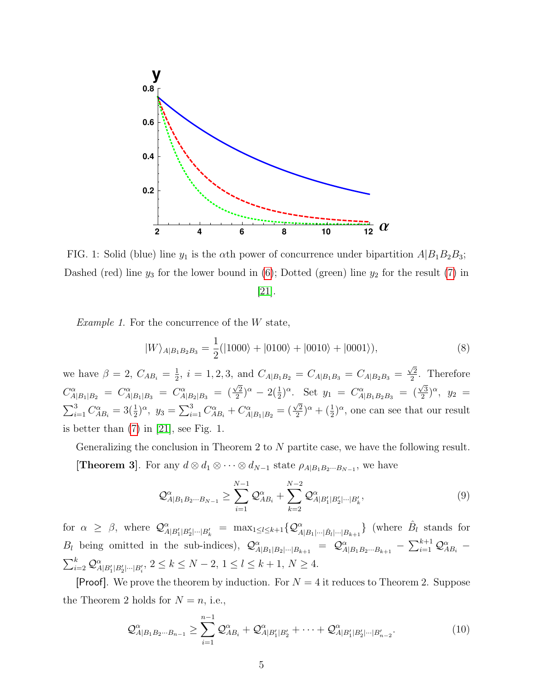

FIG. 1: Solid (blue) line  $y_1$  is the  $\alpha$ th power of concurrence under bipartition  $A|B_1B_2B_3$ ; Dashed (red) line  $y_3$  for the lower bound in [\(6\)](#page-3-0); Dotted (green) line  $y_2$  for the result [\(7\)](#page-3-1) in [\[21\]](#page-11-4).

Example 1. For the concurrence of the W state,

Q

<span id="page-4-1"></span>
$$
|W\rangle_{A|B_1B_2B_3} = \frac{1}{2}(|1000\rangle + |0100\rangle + |0010\rangle + |0001\rangle),\tag{8}
$$

we have  $\beta = 2, C_{AB_i} = \frac{1}{2}$  $\frac{1}{2}$ ,  $i = 1, 2, 3$ , and  $C_{A|B_1B_2} = C_{A|B_1B_3} = C_{A|B_2B_3} =$  $\sqrt{2}$  $\frac{\sqrt{2}}{2}$ . Therefore  $C^{\alpha}_{A|B_1|B_2} = C^{\alpha}_{A|B_1|B_3} = C^{\alpha}_{A|B_2|B_3} =$  $\sqrt{2}$  $\frac{\sqrt{2}}{2}$ )<sup> $\alpha$ </sup> - 2( $\frac{1}{2}$ ) $\alpha$ . Set  $y_1 = C_{A|B_1B_2B_3}^{\alpha}$  = (  $\sqrt{3}$  $(\frac{\sqrt{3}}{2})^{\alpha}$ ,  $y_2 =$  $\sum_{i=1}^{3} C_{AB_i}^{\alpha} = 3(\frac{1}{2})^{\alpha}, \ y_3 = \sum_{i=1}^{3} C_{AB_i}^{\alpha} + C_{A|B_1|B_2}^{\alpha} =$  $\sqrt{2}$  $(\frac{2}{2})^{\alpha} + (\frac{1}{2})^{\alpha}$ , one can see that our result is better than  $(7)$  in  $[21]$ , see Fig. 1.

Generalizing the conclusion in Theorem 2 to  $N$  partite case, we have the following result.

**[Theorem 3]**. For any  $d \otimes d_1 \otimes \cdots \otimes d_{N-1}$  state  $\rho_{A|B_1B_2\cdots B_{N-1}}$ , we have

$$
\mathcal{Q}_{A|B_1B_2\cdots B_{N-1}}^{\alpha} \ge \sum_{i=1}^{N-1} \mathcal{Q}_{AB_i}^{\alpha} + \sum_{k=2}^{N-2} \mathcal{Q}_{A|B_1'|B_2'|\cdots|B_k'},
$$
\n(9)

for  $\alpha \geq \beta$ , where  $\mathcal{Q}^{\alpha}_{A|B'_{1}|B'_{2}| \cdots |B'_{k}} = \max_{1 \leq l \leq k+1} \{ \mathcal{Q}^{\alpha}_{A|B_{1}| \cdots |B_{k+1}} \}$  (where  $\hat{B}_{l}$  stands for  $B_l$  being omitted in the sub-indices),  $\mathcal{Q}^{\alpha}_{A|B_1|B_2| \cdots |B_{k+1}} = \mathcal{Q}^{\alpha}_{A|B_1B_2 \cdots B_{k+1}} - \sum_{i=1}^{k+1} \mathcal{Q}^{\alpha}_{AB_i}$  $\sum_{i=2}^{k} \mathcal{Q}_{A|B'_{1}|B'_{2}| \cdots |B'_{i}}^{a}, 2 \leq k \leq N-2, 1 \leq l \leq k+1, N \geq 4.$ 

**[Proof].** We prove the theorem by induction. For  $N = 4$  it reduces to Theorem 2. Suppose the Theorem 2 holds for  $N = n$ , i.e.,

<span id="page-4-0"></span>
$$
\mathcal{Q}_{A|B_1B_2\cdots B_{n-1}}^{\alpha} \ge \sum_{i=1}^{n-1} \mathcal{Q}_{AB_i}^{\alpha} + \mathcal{Q}_{A|B_1'|B_2'}^{\alpha} + \cdots + \mathcal{Q}_{A|B_1'|B_2'|\cdots|B_{n-2}'}^{\alpha}.
$$
\n(10)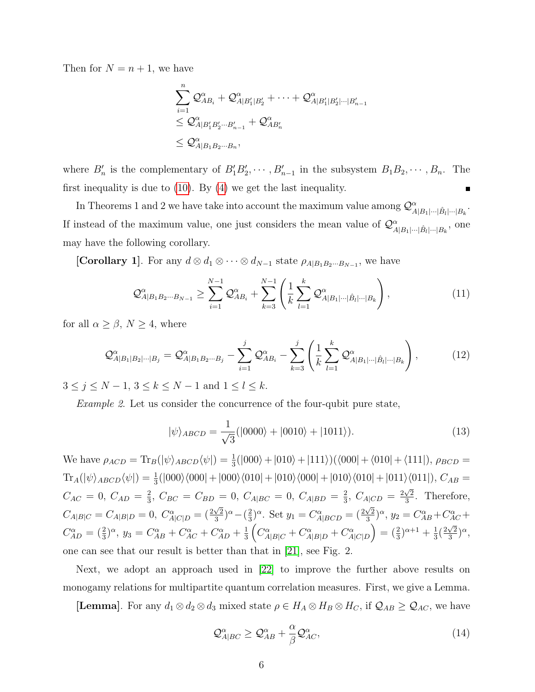Then for  $N = n + 1$ , we have

$$
\sum_{i=1}^n \mathcal{Q}_{AB_i}^{\alpha} + \mathcal{Q}_{A|B_1'|B_2'}^{\alpha} + \cdots + \mathcal{Q}_{A|B_1'|B_2'| \cdots |B_{n-1}'}^{\alpha}
$$
  

$$
\leq \mathcal{Q}_{A|B_1'B_2'\cdots B_{n-1}'}^{\alpha} + \mathcal{Q}_{AB_n'}^{\alpha}
$$
  

$$
\leq \mathcal{Q}_{A|B_1B_2\cdots B_n}^{\alpha},
$$

where  $B'_n$  is the complementary of  $B'_1B'_2, \cdots, B'_{n-1}$  in the subsystem  $B_1B_2, \cdots, B_n$ . The first inequality is due to [\(10\)](#page-4-0). By [\(4\)](#page-2-2) we get the last inequality.

In Theorems 1 and 2 we have take into account the maximum value among  $\mathcal{Q}^{\alpha}_{A|B_1|\cdots|\hat{B}_l|\cdots|B_k}$ . If instead of the maximum value, one just considers the mean value of  $\mathcal{Q}^{\alpha}_{A|B_1|\cdots|\hat{B}_l|\cdots|B_k}$ , one may have the following corollary.

[Corollary 1]. For any  $d \otimes d_1 \otimes \cdots \otimes d_{N-1}$  state  $\rho_{A|B_1B_2\cdots B_{N-1}}$ , we have

<span id="page-5-0"></span>
$$
\mathcal{Q}_{A|B_1B_2\cdots B_{N-1}}^{\alpha} \ge \sum_{i=1}^{N-1} \mathcal{Q}_{AB_i}^{\alpha} + \sum_{k=3}^{N-1} \left( \frac{1}{k} \sum_{l=1}^{k} \mathcal{Q}_{A|B_1|\cdots|\hat{B}_l|\cdots|B_k}^{\alpha} \right),
$$
\n(11)

for all  $\alpha \geq \beta$ ,  $N \geq 4$ , where

$$
\mathcal{Q}_{A|B_1|B_2|\cdots|B_j}^{\alpha} = \mathcal{Q}_{A|B_1B_2\cdots B_j}^{\alpha} - \sum_{i=1}^{j} \mathcal{Q}_{AB_i}^{\alpha} - \sum_{k=3}^{j} \left( \frac{1}{k} \sum_{l=1}^{k} \mathcal{Q}_{A|B_1|\cdots|\hat{B}_l|\cdots|B_k}^{\alpha} \right),
$$
(12)

 $3 \le j \le N - 1, 3 \le k \le N - 1$  and  $1 \le l \le k$ .

Example 2. Let us consider the concurrence of the four-qubit pure state,

<span id="page-5-1"></span>
$$
|\psi\rangle_{ABCD} = \frac{1}{\sqrt{3}}(|0000\rangle + |0010\rangle + |1011\rangle). \tag{13}
$$

We have  $\rho_{ACD} = \text{Tr}_B(|\psi\rangle_{ABCD} \langle \psi|) = \frac{1}{3}(|000\rangle + |010\rangle + |111\rangle)(\langle 000| + \langle 010| + \langle 111|), \rho_{BCD}$  $\text{Tr}_A(|\psi\rangle_{ABCD}\langle\psi|) = \frac{1}{3}(|000\rangle\langle000|+|000\rangle\langle010|+|010\rangle\langle000|+|010\rangle\langle010|+|011\rangle\langle011|), C_{AB} =$  $C_{AC} = 0, C_{AD} = \frac{2}{3}$  $\frac{2}{3}$ ,  $C_{BC} = C_{BD} = 0$ ,  $C_{A|BC} = 0$ ,  $C_{A|BD} = \frac{2}{3}$  $\frac{2}{3}$ ,  $C_{A|CD} = \frac{2\sqrt{2}}{3}$  $\frac{\sqrt{2}}{3}$ . Therefore,  $C_{A|B|C} = C_{A|B|D} = 0, C_{A|C|D}^{\alpha} = (\frac{2\sqrt{2}}{3})$  $\frac{\sqrt{2}}{3}$ <sup> $\alpha$ </sup> -  $\left(\frac{2}{3}\right)$  $(\frac{2}{3})^{\alpha}$ . Set  $y_1 = C^{\alpha}_{A|BCD} = (\frac{2\sqrt{2}}{3})^{\alpha}$  $(\frac{\sqrt{2}}{3})^{\alpha}, y_2 = C_{AB}^{\alpha} + C_{AC}^{\alpha} +$  $C_{AD}^{\alpha} = (\frac{2}{3})^{\alpha}, y_3 = C_{AB}^{\alpha} + C_{AC}^{\alpha} + C_{AD}^{\alpha} + \frac{1}{3}$  $\frac{1}{3}\left(C^{\alpha}_{A|B|C}+C^{\alpha}_{A|B|D}+C^{\alpha}_{A|C|D}\right)=(\frac{2}{3})^{\alpha+1}+\frac{1}{3}$  $\frac{1}{3}(\frac{2\sqrt{2}}{3}% )^{2}$  $\frac{\sqrt{2}}{3}\big)^{\alpha}$ one can see that our result is better than that in [\[21\]](#page-11-4), see Fig. 2.

Next, we adopt an approach used in [\[22\]](#page-11-5) to improve the further above results on monogamy relations for multipartite quantum correlation measures. First, we give a Lemma.

[Lemma]. For any  $d_1 \otimes d_2 \otimes d_3$  mixed state  $\rho \in H_A \otimes H_B \otimes H_C$ , if  $\mathcal{Q}_{AB} \geq \mathcal{Q}_{AC}$ , we have

$$
\mathcal{Q}_{A|BC}^{\alpha} \ge \mathcal{Q}_{AB}^{\alpha} + \frac{\alpha}{\beta} \mathcal{Q}_{AC}^{\alpha},\tag{14}
$$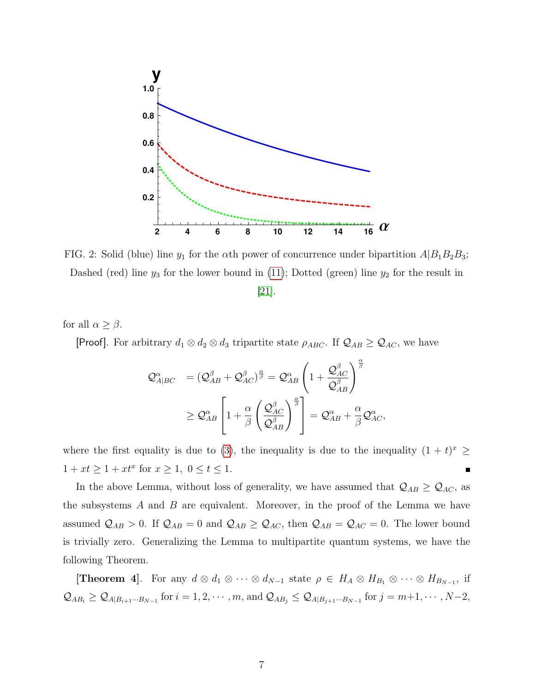

FIG. 2: Solid (blue) line  $y_1$  for the  $\alpha$ th power of concurrence under bipartition  $A|B_1B_2B_3$ ; Dashed (red) line  $y_3$  for the lower bound in [\(11\)](#page-5-0); Dotted (green) line  $y_2$  for the result in

[\[21\]](#page-11-4).

for all  $\alpha \geq \beta$ .

[Proof]. For arbitrary  $d_1 \otimes d_2 \otimes d_3$  tripartite state  $\rho_{ABC}$ . If  $\mathcal{Q}_{AB} \geq \mathcal{Q}_{AC}$ , we have

$$
\begin{array}{ll} \mathcal{Q}_{A|BC}^{\alpha} & = \left(\mathcal{Q}_{AB}^{\beta} + \mathcal{Q}_{AC}^{\beta}\right)^{\frac{\alpha}{\beta}} = \mathcal{Q}_{AB}^{\alpha} \left(1 + \frac{\mathcal{Q}_{AC}^{\beta}}{\mathcal{Q}_{AB}^{\beta}}\right)^{\frac{\alpha}{\beta}} \\ & \geq \mathcal{Q}_{AB}^{\alpha} \left[1 + \frac{\alpha}{\beta} \left(\frac{\mathcal{Q}_{AC}^{\beta}}{\mathcal{Q}_{AB}^{\beta}}\right)^{\frac{\alpha}{\beta}}\right] = \mathcal{Q}_{AB}^{\alpha} + \frac{\alpha}{\beta} \mathcal{Q}_{AC}^{\alpha}, \end{array}
$$

where the first equality is due to [\(3\)](#page-2-1), the inequality is due to the inequality  $(1 + t)^x \ge$  $1 + xt \geq 1 + xt^x$  for  $x \geq 1, 0 \leq t \leq 1$ .  $\blacksquare$ 

In the above Lemma, without loss of generality, we have assumed that  $\mathcal{Q}_{AB} \geq \mathcal{Q}_{AC}$ , as the subsystems  $A$  and  $B$  are equivalent. Moreover, in the proof of the Lemma we have assumed  $Q_{AB} > 0$ . If  $Q_{AB} = 0$  and  $Q_{AB} \geq Q_{AC}$ , then  $Q_{AB} = Q_{AC} = 0$ . The lower bound is trivially zero. Generalizing the Lemma to multipartite quantum systems, we have the following Theorem.

**[Theorem 4]**. For any  $d \otimes d_1 \otimes \cdots \otimes d_{N-1}$  state  $\rho \in H_A \otimes H_{B_1} \otimes \cdots \otimes H_{B_{N-1}}$ , if  $\mathcal{Q}_{AB_i} \geq \mathcal{Q}_{A|B_{i+1}\cdots B_{N-1}}$  for  $i=1,2,\cdots,m$ , and  $\mathcal{Q}_{AB_j} \leq \mathcal{Q}_{A|B_{j+1}\cdots B_{N-1}}$  for  $j=m+1,\cdots,N-2$ ,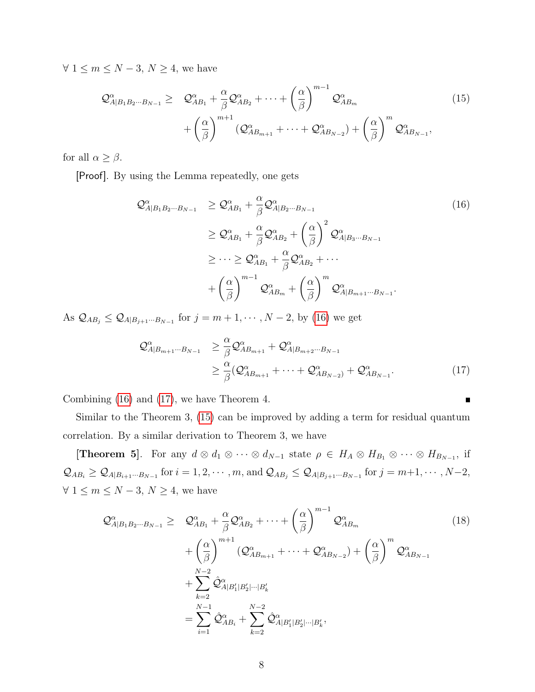$\forall 1 \leq m \leq N-3, N \geq 4$ , we have

<span id="page-7-2"></span>
$$
\mathcal{Q}_{A|B_1B_2\cdots B_{N-1}}^{\alpha} \geq \mathcal{Q}_{AB_1}^{\alpha} + \frac{\alpha}{\beta} \mathcal{Q}_{AB_2}^{\alpha} + \cdots + \left(\frac{\alpha}{\beta}\right)^{m-1} \mathcal{Q}_{AB_m}^{\alpha} + \left(\frac{\alpha}{\beta}\right)^{m+1} \left(\mathcal{Q}_{AB_{m+1}}^{\alpha} + \cdots + \mathcal{Q}_{AB_{N-2}}^{\alpha}\right) + \left(\frac{\alpha}{\beta}\right)^m \mathcal{Q}_{AB_{N-1}}^{\alpha},
$$
\n(15)

for all  $\alpha \geq \beta$ .

[Proof]. By using the Lemma repeatedly, one gets

<span id="page-7-0"></span>
$$
\mathcal{Q}_{A|B_1B_2\cdots B_{N-1}}^{\alpha} \geq \mathcal{Q}_{AB_1}^{\alpha} + \frac{\alpha}{\beta} \mathcal{Q}_{A|B_2\cdots B_{N-1}}^{\alpha}
$$
\n
$$
\geq \mathcal{Q}_{AB_1}^{\alpha} + \frac{\alpha}{\beta} \mathcal{Q}_{AB_2}^{\alpha} + \left(\frac{\alpha}{\beta}\right)^2 \mathcal{Q}_{A|B_3\cdots B_{N-1}}^{\alpha}
$$
\n
$$
\geq \cdots \geq \mathcal{Q}_{AB_1}^{\alpha} + \frac{\alpha}{\beta} \mathcal{Q}_{AB_2}^{\alpha} + \cdots
$$
\n
$$
+ \left(\frac{\alpha}{\beta}\right)^{m-1} \mathcal{Q}_{AB_m}^{\alpha} + \left(\frac{\alpha}{\beta}\right)^m \mathcal{Q}_{A|B_{m+1}\cdots B_{N-1}}^{\alpha}.
$$
\n(16)

As  $\mathcal{Q}_{AB_j} \leq \mathcal{Q}_{A|B_{j+1}\cdots B_{N-1}}$  for  $j = m+1, \cdots, N-2$ , by [\(16\)](#page-7-0) we get

<span id="page-7-1"></span>
$$
\mathcal{Q}_{A|B_{m+1}\cdots B_{N-1}}^{\alpha} \geq \frac{\alpha}{\beta} \mathcal{Q}_{AB_{m+1}}^{\alpha} + \mathcal{Q}_{A|B_{m+2}\cdots B_{N-1}}^{\alpha}
$$
\n
$$
\geq \frac{\alpha}{\beta} (\mathcal{Q}_{AB_{m+1}}^{\alpha} + \cdots + \mathcal{Q}_{AB_{N-2}}^{\alpha}) + \mathcal{Q}_{AB_{N-1}}^{\alpha}.
$$
\n(17)

Combining [\(16\)](#page-7-0) and [\(17\)](#page-7-1), we have Theorem 4.

Similar to the Theorem 3, [\(15\)](#page-7-2) can be improved by adding a term for residual quantum correlation. By a similar derivation to Theorem 3, we have

**[Theorem 5]**. For any  $d \otimes d_1 \otimes \cdots \otimes d_{N-1}$  state  $\rho \in H_A \otimes H_{B_1} \otimes \cdots \otimes H_{B_{N-1}}$ , if  $\mathcal{Q}_{AB_i} \geq \mathcal{Q}_{A|B_{i+1}\cdots B_{N-1}}$  for  $i=1,2,\cdots,m$ , and  $\mathcal{Q}_{AB_j} \leq \mathcal{Q}_{A|B_{j+1}\cdots B_{N-1}}$  for  $j=m+1,\cdots,N-2$ ,  $\forall$   $1 \leq m \leq N-3,$   $N \geq 4,$  we have

<span id="page-7-3"></span>
$$
\mathcal{Q}_{A|B_1B_2\cdots B_{N-1}}^{\alpha} \geq \mathcal{Q}_{AB_1}^{\alpha} + \frac{\alpha}{\beta} \mathcal{Q}_{AB_2}^{\alpha} + \cdots + \left(\frac{\alpha}{\beta}\right)^{m-1} \mathcal{Q}_{AB_m}^{\alpha} \n+ \left(\frac{\alpha}{\beta}\right)^{m+1} \left(\mathcal{Q}_{AB_{m+1}}^{\alpha} + \cdots + \mathcal{Q}_{AB_{N-2}}^{\alpha}\right) + \left(\frac{\alpha}{\beta}\right)^m \mathcal{Q}_{AB_{N-1}}^{\alpha} \n+ \sum_{k=2}^{N-2} \hat{\mathcal{Q}}_{A|B_1'|B_2'| \cdots |B_k'}^{\alpha} \n= \sum_{i=1}^{N-1} \hat{\mathcal{Q}}_{AB_i}^{\alpha} + \sum_{k=2}^{N-2} \hat{\mathcal{Q}}_{A|B_1'|B_2'| \cdots |B_k'},
$$
\n(18)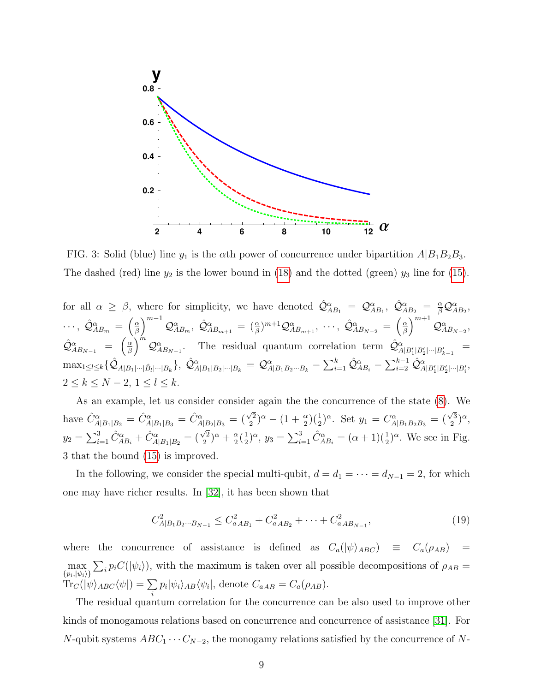

FIG. 3: Solid (blue) line  $y_1$  is the  $\alpha$ th power of concurrence under bipartition  $A|B_1B_2B_3$ . The dashed (red) line  $y_2$  is the lower bound in [\(18\)](#page-7-3) and the dotted (green)  $y_3$  line for [\(15\)](#page-7-2).

for all  $\alpha \geq \beta$ , where for simplicity, we have denoted  $\hat{\mathcal{Q}}^{\alpha}_{AB_1} = \mathcal{Q}^{\alpha}_{AB_1}, \ \hat{\mathcal{Q}}^{\alpha}_{AB_2} = \frac{\alpha}{\beta} \mathcal{Q}^{\alpha}_{AB_2},$  $\cdots,\ \hat{\cal Q}^\alpha_{AB_m}\ =\ \left(\frac{\alpha}{\beta}\right.$  $\left(\frac{\alpha}{\beta}\right)^{m-1}\mathcal{Q}^\alpha_{AB_m},\ \hat{\mathcal{Q}}^\alpha_{AB_{m+1}}\ =\ (\frac{\alpha}{\beta})^{m+1}\mathcal{Q}^\alpha_{AB_{m+1}},\ \cdots,\ \hat{\mathcal{Q}}^\alpha_{AB_{N-2}}\ =\ \left(\frac{\alpha}{\beta}\right)^{m-1}$  $\left(\frac{\alpha}{\beta}\right)^{m+1}\mathcal{Q}^\alpha_{AB_{N-2}},$  $\hat{\cal Q}^\alpha_{AB_{N-1}} = \begin{pmatrix} \frac{\alpha}{\beta} \end{pmatrix}$  $\left(\frac{\alpha}{\beta}\right)^{\hat{m}}\mathcal{Q}^{\alpha}_{AB_{N-1}}$ . The residual quantum correlation term  $\hat{\mathcal{Q}}^{\alpha}_{A|B'_1|B'_2|\cdots|B'_{k-1}}$  $\max_{1\leq l\leq k}\{\hat{\cal Q}_{A|B_1|\cdots|\hat{B_l}|\cdots|B_k}\},\ \hat{\cal Q}^{\alpha}_{A|B_1|B_2|\cdots|B_k}\ =\ {\cal Q}^{\alpha}_{A|B_1B_2\cdots B_k}-\sum_{i=1}^k\hat{\cal Q}^{\alpha}_{AB_i}-\sum_{i=2}^{k-1}\hat{\cal Q}^{\alpha}_{A|B'_1|B'_2|\cdots|B'_i},$  $2 \leq k \leq N-2, 1 \leq l \leq k.$ 

As an example, let us consider consider again the the concurrence of the state [\(8\)](#page-4-1). We have  $\hat{C}_{A|B_1|B_2}^{\alpha} = \hat{C}_{A|B_1|B_3}^{\alpha} = \hat{C}_{A|B_2|B_3}^{\alpha} =$  (  $\sqrt{2}$  $\frac{\sqrt{2}}{2}$ )<sup> $\alpha$ </sup> - (1 +  $\frac{\alpha}{2}$ )( $\frac{1}{2}$ ) $\alpha$ . Set  $y_1 = C_{A|B_1B_2B_3}^{\alpha}$  = (  $\sqrt{3}$  $(\frac{3}{2})^{\alpha}$  $y_2 = \sum_{i=1}^3 \hat{C}_{AB_i}^{\alpha} + \hat{C}_{A|B_1|B_2}^{\alpha} =$  $\sqrt{2}$  $\frac{\sqrt{2}}{2}$ <sup> $\alpha$ </sup> +  $\frac{\alpha}{2}$  $\frac{\alpha}{2}(\frac{1}{2})$  $(\frac{1}{2})^{\alpha}$ ,  $y_3 = \sum_{i=1}^3 \hat{C}_{AB_i}^{\alpha} = (\alpha+1)(\frac{1}{2})^{\alpha}$ . We see in Fig. 3 that the bound [\(15\)](#page-7-2) is improved.

In the following, we consider the special multi-qubit,  $d = d_1 = \cdots = d_{N-1} = 2$ , for which one may have richer results. In [\[32\]](#page-11-14), it has been shown that

<span id="page-8-0"></span>
$$
C_{A|B_1B_2\cdots B_{N-1}}^2 \le C_{aAB_1}^2 + C_{aAB_2}^2 + \cdots + C_{aAB_{N-1}}^2,
$$
\n(19)

where the concurrence of assistance is defined as  $C_a(|\psi\rangle_{ABC}) \equiv C_a(\rho_{AB}) =$  $\max_{\{p_i,|\psi_i\rangle\}}$  $\sum_i p_i C(|\psi_i\rangle)$ , with the maximum is taken over all possible decompositions of  $\rho_{AB} =$  $\text{Tr}_C(|\psi\rangle_{ABC}\langle\psi|) = \sum$ i  $p_i|\psi_i\rangle_{AB}\langle\psi_i|$ , denote  $C_{aAB} = C_a(\rho_{AB})$ .

The residual quantum correlation for the concurrence can be also used to improve other kinds of monogamous relations based on concurrence and concurrence of assistance [\[31\]](#page-11-15). For N-qubit systems  $ABC_1 \cdots C_{N-2}$ , the monogamy relations satisfied by the concurrence of N-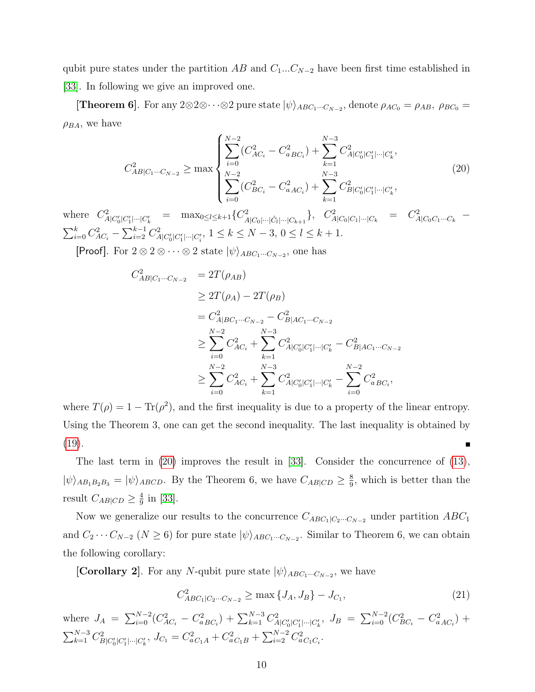qubit pure states under the partition AB and  $C_1...C_{N-2}$  have been first time established in [\[33\]](#page-11-16). In following we give an improved one.

**[Theorem 6]**. For any  $2 \otimes 2 \otimes \cdots \otimes 2$  pure state  $|\psi\rangle_{ABC_1\cdots C_{N-2}}$ , denote  $\rho_{AC_0} = \rho_{AB}$ ,  $\rho_{BC_0} =$  $\rho_{BA}$ , we have

<span id="page-9-0"></span>
$$
C_{AB|C_1\cdots C_{N-2}}^2 \ge \max \left\{ \sum_{i=0}^{N-2} (C_{AC_i}^2 - C_{aBC_i}^2) + \sum_{k=1}^{N-3} C_{A|C_0'|C_1'| \cdots |C_k'},^{2} \right\}
$$
  

$$
\sum_{i=0}^{N-2} (C_{BC_i}^2 - C_{aAC_i}^2) + \sum_{k=1}^{N-3} C_{B|C_0'|C_1'| \cdots |C_k'},^{2} \right\}
$$
 (20)

where  $C_{A|C_0'|C_1'|\cdots|C_k'}^2 = \max_{0 \le l \le k+1} \{C_{A|C_0|\cdots|C_l|\cdots|C_{k+1}}^2\}, C_{A|C_0|C_1|\cdots|C_k}^2 = C_{A|C_0C_1\cdots C_k}^2$  $\sum_{i=0}^{k} C_{AC_i}^2 - \sum_{i=2}^{k-1} C_{A|C_0'|C_1'| \cdots |C_i'|}^2$ ,  $1 \le k \le N-3$ ,  $0 \le l \le k+1$ .

[Proof]. For  $2 \otimes 2 \otimes \cdots \otimes 2$  state  $|\psi\rangle_{ABC_1\cdots C_{N-2}}$ , one has

$$
C_{AB|C_1\cdots C_{N-2}}^2 = 2T(\rho_{AB})
$$
  
\n
$$
\geq 2T(\rho_A) - 2T(\rho_B)
$$
  
\n
$$
= C_{A|BC_1\cdots C_{N-2}}^2 - C_{B|AC_1\cdots C_{N-2}}^2
$$
  
\n
$$
\geq \sum_{i=0}^{N-2} C_{AC_i}^2 + \sum_{k=1}^{N-3} C_{A|C'_0|C'_1|\cdots C'_k}^2 - C_{B|AC_1\cdots C_{N-2}}^2
$$
  
\n
$$
\geq \sum_{i=0}^{N-2} C_{AC_i}^2 + \sum_{k=1}^{N-3} C_{A|C'_0|C'_1|\cdots C'_k}^2 - \sum_{i=0}^{N-2} C_{aBC_i}^2,
$$

where  $T(\rho) = 1 - \text{Tr}(\rho^2)$ , and the first inequality is due to a property of the linear entropy. Using the Theorem 3, one can get the second inequality. The last inequality is obtained by [\(19\)](#page-8-0).  $\blacksquare$ 

The last term in [\(20\)](#page-9-0) improves the result in [\[33\]](#page-11-16). Consider the concurrence of [\(13\)](#page-5-1),  $|\psi\rangle_{AB_1B_2B_3} = |\psi\rangle_{ABCD}$ . By the Theorem 6, we have  $C_{AB|CD} \geq \frac{8}{9}$  $\frac{8}{9}$ , which is better than the result  $C_{AB|CD} \geq \frac{4}{9}$  $\frac{4}{9}$  in [\[33\]](#page-11-16).

Now we generalize our results to the concurrence  $C_{ABC_1|C_2\cdots C_{N-2}}$  under partition  $ABC_1$ and  $C_2 \cdots C_{N-2}$   $(N \ge 6)$  for pure state  $|\psi\rangle_{ABC_1\cdots C_{N-2}}$ . Similar to Theorem 6, we can obtain the following corollary:

[Corollary 2]. For any N-qubit pure state  $|\psi\rangle_{ABC_1\cdots C_{N-2}}$ , we have

<span id="page-9-1"></span>
$$
C_{ABC_1|C_2\cdots C_{N-2}}^2 \ge \max\{J_A, J_B\} - J_{C_1},\tag{21}
$$

where  $J_A = \sum_{i=0}^{N-2} (C_{AC_i}^2 - C_{aBC_i}^2) + \sum_{k=1}^{N-3} C_{A|C_0'|C_1'| \cdots |C_k'}^2$ ,  $J_B = \sum_{i=0}^{N-2} (C_{BC_i}^2 - C_{aAC_i}^2) +$  $\sum_{k=1}^{N-3} C_{B|C_0'|C_1'| \cdots |C_k'}^2$ ,  $J_{C_1} = C_{aC_1A}^2 + C_{aC_1B}^2 + \sum_{i=2}^{N-2} C_{aC_1C_i}^2$ .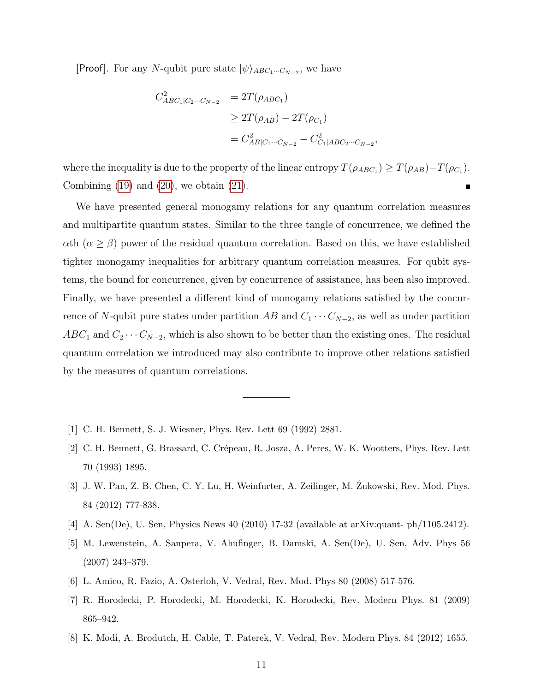**[Proof]**. For any N-qubit pure state  $|\psi\rangle_{ABC_1\cdots C_{N-2}}$ , we have

$$
C_{ABC_1|C_2\cdots C_{N-2}}^2 = 2T(\rho_{ABC_1})
$$
  
\n
$$
\geq 2T(\rho_{AB}) - 2T(\rho_{C_1})
$$
  
\n
$$
= C_{AB|C_1\cdots C_{N-2}}^2 - C_{C_1|ABC_2\cdots C_{N-2}}^2,
$$

where the inequality is due to the property of the linear entropy  $T(\rho_{ABC_1}) \geq T(\rho_{AB}) - T(\rho_{C_1})$ . Combining  $(19)$  and  $(20)$ , we obtain  $(21)$ .

We have presented general monogamy relations for any quantum correlation measures and multipartite quantum states. Similar to the three tangle of concurrence, we defined the  $\alpha$ th ( $\alpha \geq \beta$ ) power of the residual quantum correlation. Based on this, we have established tighter monogamy inequalities for arbitrary quantum correlation measures. For qubit systems, the bound for concurrence, given by concurrence of assistance, has been also improved. Finally, we have presented a different kind of monogamy relations satisfied by the concurrence of N-qubit pure states under partition AB and  $C_1 \cdots C_{N-2}$ , as well as under partition  $ABC_1$  and  $C_2 \cdots C_{N-2}$ , which is also shown to be better than the existing ones. The residual quantum correlation we introduced may also contribute to improve other relations satisfied by the measures of quantum correlations.

- <span id="page-10-0"></span>[1] C. H. Bennett, S. J. Wiesner, Phys. Rev. Lett 69 (1992) 2881.
- [2] C. H. Bennett, G. Brassard, C. Crépeau, R. Josza, A. Peres, W. K. Wootters, Phys. Rev. Lett 70 (1993) 1895.
- [3] J. W. Pan, Z. B. Chen, C. Y. Lu, H. Weinfurter, A. Zeilinger, M. Zukowski, Rev. Mod. Phys. 84 (2012) 777-838.
- [4] A. Sen(De), U. Sen, Physics News 40 (2010) 17-32 (available at arXiv:quant- ph/1105.2412).
- [5] M. Lewenstein, A. Sanpera, V. Ahufinger, B. Damski, A. Sen(De), U. Sen, Adv. Phys 56 (2007) 243–379.
- <span id="page-10-2"></span><span id="page-10-1"></span>[6] L. Amico, R. Fazio, A. Osterloh, V. Vedral, Rev. Mod. Phys 80 (2008) 517-576.
- [7] R. Horodecki, P. Horodecki, M. Horodecki, K. Horodecki, Rev. Modern Phys. 81 (2009) 865–942.
- <span id="page-10-3"></span>[8] K. Modi, A. Brodutch, H. Cable, T. Paterek, V. Vedral, Rev. Modern Phys. 84 (2012) 1655.